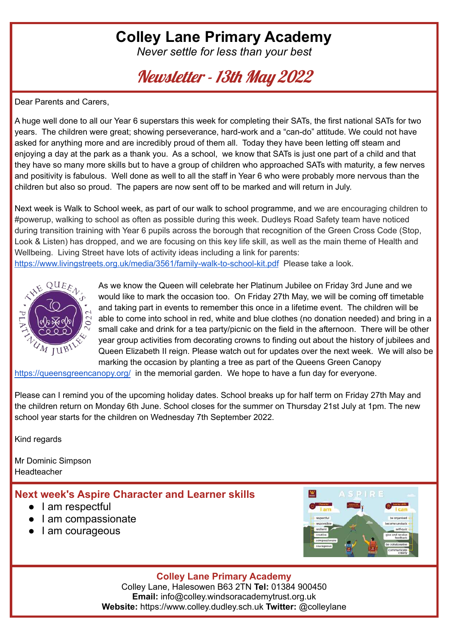# **Colley Lane Primary Academy**

*Never settle for less than your best*

Newsletter - 13th May 2022

Dear Parents and Carers,

A huge well done to all our Year 6 superstars this week for completing their SATs, the first national SATs for two years. The children were great; showing perseverance, hard-work and a "can-do" attitude. We could not have asked for anything more and are incredibly proud of them all. Today they have been letting off steam and enjoying a day at the park as a thank you. As a school, we know that SATs is just one part of a child and that they have so many more skills but to have a group of children who approached SATs with maturity, a few nerves and positivity is fabulous. Well done as well to all the staff in Year 6 who were probably more nervous than the children but also so proud. The papers are now sent off to be marked and will return in July.

Next week is Walk to School week, as part of our walk to school programme, and we are encouraging children to #powerup, walking to school as often as possible during this week. Dudleys Road Safety team have noticed during transition training with Year 6 pupils across the borough that recognition of the Green Cross Code (Stop, Look & Listen) has dropped, and we are focusing on this key life skill, as well as the main theme of Health and Wellbeing. Living Street have lots of activity ideas including a link for parents: <https://www.livingstreets.org.uk/media/3561/family-walk-to-school-kit.pdf> Please take a look.



As we know the Queen will celebrate her Platinum Jubilee on Friday 3rd June and we would like to mark the occasion too. On Friday 27th May, we will be coming off timetable and taking part in events to remember this once in a lifetime event. The children will be able to come into school in red, white and blue clothes (no donation needed) and bring in a small cake and drink for a tea party/picnic on the field in the afternoon. There will be other year group activities from decorating crowns to finding out about the history of jubilees and Queen Elizabeth II reign. Please watch out for updates over the next week. We will also be marking the occasion by planting a tree as part of the Queens Green Canopy

<https://queensgreencanopy.org/> in the memorial garden. We hope to have a fun day for everyone.

Please can I remind you of the upcoming holiday dates. School breaks up for half term on Friday 27th May and the children return on Monday 6th June. School closes for the summer on Thursday 21st July at 1pm. The new school year starts for the children on Wednesday 7th September 2022.

Kind regards

Mr Dominic Simpson **Headteacher** 

### **Next week's Aspire Character and Learner skills**

- I am respectful
- I am compassionate
- I am courageous



### **Colley Lane Primary Academy**

Colley Lane, Halesowen B63 2TN **Tel:** 01384 900450 **Email:** info@colley.windsoracademytrust.org.uk **Website:** https://www.colley.dudley.sch.uk **Twitter:** @colleylane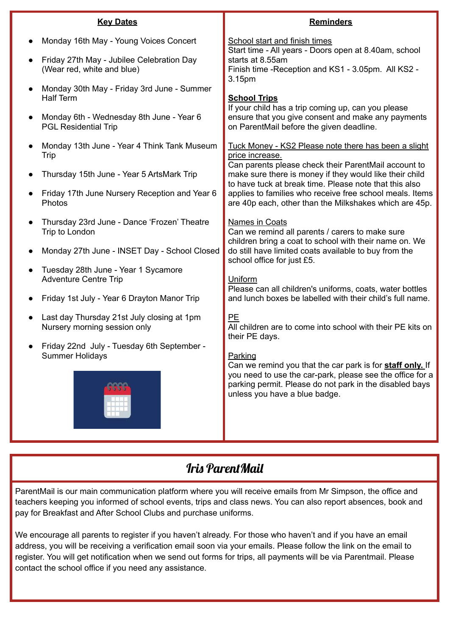| <b>Key Dates</b>                                                                                                                                                                                                       | <b>Reminders</b>                                                                                                                                                                                                                                                                                                        |  |  |
|------------------------------------------------------------------------------------------------------------------------------------------------------------------------------------------------------------------------|-------------------------------------------------------------------------------------------------------------------------------------------------------------------------------------------------------------------------------------------------------------------------------------------------------------------------|--|--|
| Monday 16th May - Young Voices Concert<br>Friday 27th May - Jubilee Celebration Day                                                                                                                                    | <b>School start and finish times</b><br>Start time - All years - Doors open at 8.40am, school<br>starts at 8.55am                                                                                                                                                                                                       |  |  |
| (Wear red, white and blue)<br>Monday 30th May - Friday 3rd June - Summer<br><b>Half Term</b><br>Monday 6th - Wednesday 8th June - Year 6<br><b>PGL Residential Trip</b><br>Monday 13th June - Year 4 Think Tank Museum | Finish time - Reception and KS1 - 3.05pm. All KS2 -<br>3.15pm<br><b>School Trips</b><br>If your child has a trip coming up, can you please<br>ensure that you give consent and make any payments<br>on ParentMail before the given deadline.<br>Tuck Money - KS2 Please note there has been a slight<br>price increase. |  |  |
| Trip<br>Thursday 15th June - Year 5 ArtsMark Trip<br>Friday 17th June Nursery Reception and Year 6<br>Photos                                                                                                           | Can parents please check their ParentMail account to<br>make sure there is money if they would like their child<br>to have tuck at break time. Please note that this also<br>applies to families who receive free school meals. Items<br>are 40p each, other than the Milkshakes which are 45p.                         |  |  |
| Thursday 23rd June - Dance 'Frozen' Theatre<br>Trip to London<br>Monday 27th June - INSET Day - School Closed<br>Tuesday 28th June - Year 1 Sycamore                                                                   | <b>Names in Coats</b><br>Can we remind all parents / carers to make sure<br>children bring a coat to school with their name on. We<br>do still have limited coats available to buy from the<br>school office for just £5.                                                                                               |  |  |
| <b>Adventure Centre Trip</b><br>Friday 1st July - Year 6 Drayton Manor Trip                                                                                                                                            | Uniform<br>Please can all children's uniforms, coats, water bottles<br>and lunch boxes be labelled with their child's full name.                                                                                                                                                                                        |  |  |
| Last day Thursday 21st July closing at 1pm<br>$\bullet$<br>Nursery morning session only                                                                                                                                | PE<br>All children are to come into school with their PE kits on<br>their PE days.                                                                                                                                                                                                                                      |  |  |
| Friday 22nd July - Tuesday 6th September -<br><b>Summer Holidays</b>                                                                                                                                                   | Parking<br>Can we remind you that the car park is for staff only. If<br>you need to use the car-park, please see the office for a<br>parking permit. Please do not park in the disabled bays<br>unless you have a blue badge.                                                                                           |  |  |

## Iris ParentMail

ParentMail is our main communication platform where you will receive emails from Mr Simpson, the office and teachers keeping you informed of school events, trips and class news. You can also report absences, book and pay for Breakfast and After School Clubs and purchase uniforms.

We encourage all parents to register if you haven't already. For those who haven't and if you have an email address, you will be receiving a verification email soon via your emails. Please follow the link on the email to register. You will get notification when we send out forms for trips, all payments will be via Parentmail. Please contact the school office if you need any assistance.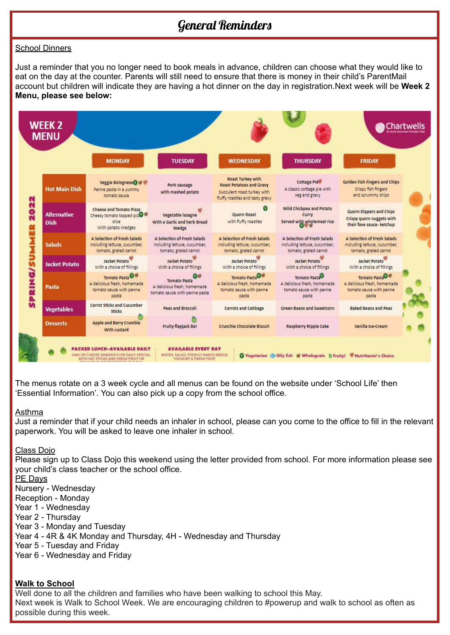## General Reminders

#### School Dinners

Just a reminder that you no longer need to book meals in advance, children can choose what they would like to eat on the day at the counter. Parents will still need to ensure that there is money in their child's ParentMail account but children will indicate they are having a hot dinner on the day in registration.Next week will be **Week 2 Menu, please see below:**



The menus rotate on a 3 week cycle and all menus can be found on the website under 'School Life' then 'Essential Information'. You can also pick up a copy from the school office.

#### Asthma

Just a reminder that if your child needs an inhaler in school, please can you come to the office to fill in the relevant paperwork. You will be asked to leave one inhaler in school.

#### Class Dojo

Please sign up to Class Dojo this weekend using the letter provided from school. For more information please see your child's class teacher or the school office.

PE Days

Nursery - Wednesday

Reception - Monday

Year 1 - Wednesday

Year 2 - Thursday

Year 3 - Monday and Tuesday

Year 4 - 4R & 4K Monday and Thursday, 4H - Wednesday and Thursday

Year 5 - Tuesday and Friday

Year 6 - Wednesday and Friday

### **Walk to School**

Well done to all the children and families who have been walking to school this May. Next week is Walk to School Week. We are encouraging children to #powerup and walk to school as often as possible during this week.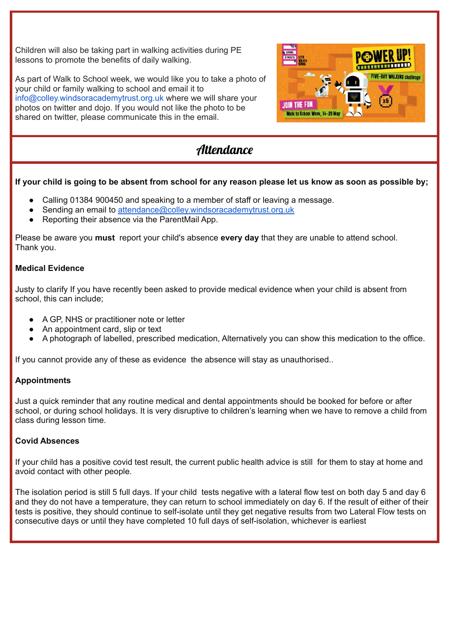Children will also be taking part in walking activities during PE lessons to promote the benefits of daily walking.

As part of Walk to School week, we would like you to take a photo of your child or family walking to school and email it to info@colley.windsoracademytrust.org.uk where we will share your photos on twitter and dojo. If you would not like the photo to be shared on twitter, please communicate this in the email.



# **Attendance**

### If your child is going to be absent from school for any reason please let us know as soon as possible by:

- Calling 01384 900450 and speaking to a member of staff or leaving a message.
- Sending an email to [attendance@colley.windsoracademytrust.org.uk](mailto:attendance@colley.windsoracademytrust.org.uk)
- Reporting their absence via the ParentMail App.

Please be aware you **must** report your child's absence **every day** that they are unable to attend school. Thank you.

#### **Medical Evidence**

Justy to clarify If you have recently been asked to provide medical evidence when your child is absent from school, this can include;

- A GP, NHS or practitioner note or letter
- An appointment card, slip or text
- A photograph of labelled, prescribed medication, Alternatively you can show this medication to the office.

If you cannot provide any of these as evidence the absence will stay as unauthorised..

### **Appointments**

Just a quick reminder that any routine medical and dental appointments should be booked for before or after school, or during school holidays. It is very disruptive to children's learning when we have to remove a child from class during lesson time.

### **Covid Absences**

If your child has a positive covid test result, the current public health advice is still for them to stay at home and avoid contact with other people.

The isolation period is still 5 full days. If your child tests negative with a lateral flow test on both day 5 and day 6 and they do not have a temperature, they can return to school immediately on day 6. If the result of either of their tests is positive, they should continue to self-isolate until they get negative results from two Lateral Flow tests on consecutive days or until they have completed 10 full days of self-isolation, whichever is earliest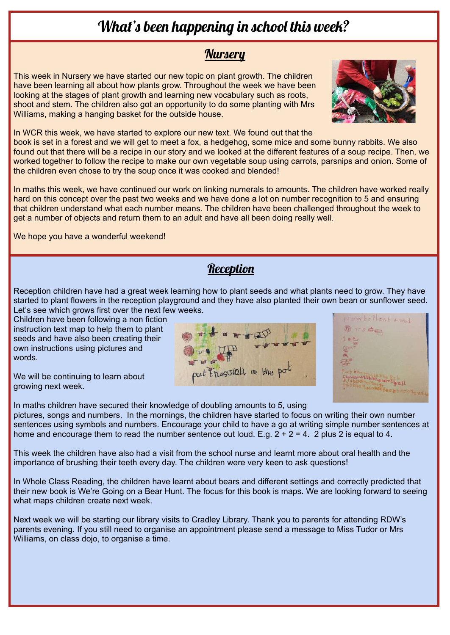# What's been happening in school this week?

### **Nursery**

This week in Nursery we have started our new topic on plant growth. The children have been learning all about how plants grow. Throughout the week we have been looking at the stages of plant growth and learning new vocabulary such as roots, shoot and stem. The children also got an opportunity to do some planting with Mrs Williams, making a hanging basket for the outside house.



In WCR this week, we have started to explore our new text. We found out that the book is set in a forest and we will get to meet a fox, a hedgehog, some mice and some bunny rabbits. We also found out that there will be a recipe in our story and we looked at the different features of a soup recipe. Then, we worked together to follow the recipe to make our own vegetable soup using carrots, parsnips and onion. Some of the children even chose to try the soup once it was cooked and blended!

In maths this week, we have continued our work on linking numerals to amounts. The children have worked really hard on this concept over the past two weeks and we have done a lot on number recognition to 5 and ensuring that children understand what each number means. The children have been challenged throughout the week to get a number of objects and return them to an adult and have all been doing really well.

We hope you have a wonderful weekend!

### **Reception**

Reception children have had a great week learning how to plant seeds and what plants need to grow. They have started to plant flowers in the reception playground and they have also planted their own bean or sunflower seed. Let's see which grows first over the next few weeks.

Children have been following a non fiction instruction text map to help them to plant seeds and have also been creating their own instructions using pictures and words.

We will be continuing to learn about growing next week.





In maths children have secured their knowledge of doubling amounts to 5, using pictures, songs and numbers. In the mornings, the children have started to focus on writing their own number sentences using symbols and numbers. Encourage your child to have a go at writing simple number sentences at home and encourage them to read the number sentence out loud. E.g.  $2 + 2 = 4$ . 2 plus 2 is equal to 4.

This week the children have also had a visit from the school nurse and learnt more about oral health and the importance of brushing their teeth every day. The children were very keen to ask questions!

In Whole Class Reading, the children have learnt about bears and different settings and correctly predicted that their new book is We're Going on a Bear Hunt. The focus for this book is maps. We are looking forward to seeing what maps children create next week.

Next week we will be starting our library visits to Cradley Library. Thank you to parents for attending RDW's parents evening. If you still need to organise an appointment please send a message to Miss Tudor or Mrs Williams, on class dojo, to organise a time.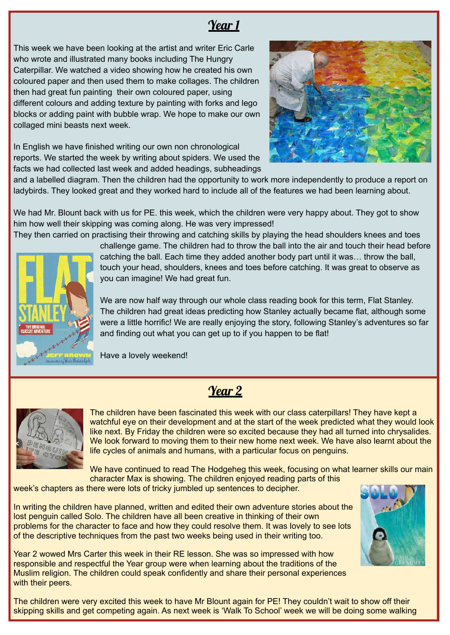# Year 1

This week we have been looking at the artist and writer Eric Carle who wrote and illustrated many books including The Hungry Caterpillar. We watched a video showing how he created his own coloured paper and then used them to make collages. The children then had great fun painting their own coloured paper, using different colours and adding texture by painting with forks and lego blocks or adding paint with bubble wrap. We hope to make our own collaged mini beasts next week.

In English we have finished writing our own non chronological reports. We started the week by writing about spiders. We used the facts we had collected last week and added headings, subheadings



and a labelled diagram. Then the children had the opportunity to work more independently to produce a report on ladybirds. They looked great and they worked hard to include all of the features we had been learning about.

We had Mr. Blount back with us for PE, this week, which the children were very happy about. They got to show him how well their skipping was coming along. He was very impressed!



They then carried on practising their throwing and catching skills by playing the head shoulders knees and toes challenge game. The children had to throw the ball into the air and touch their head before catching the ball. Each time they added another body part until it was… throw the ball, touch your head, shoulders, knees and toes before catching. It was great to observe as you can imagine! We had great fun.

> We are now half way through our whole class reading book for this term, Flat Stanley. The children had great ideas predicting how Stanley actually became flat, although some were a little horrific! We are really enjoying the story, following Stanley's adventures so far and finding out what you can get up to if you happen to be flat!

Have a lovely weekend!



Year 2

The children have been fascinated this week with our class caterpillars! They have kept a watchful eye on their development and at the start of the week predicted what they would look like next. By Friday the children were so excited because they had all turned into chrysalides. We look forward to moving them to their new home next week. We have also learnt about the life cycles of animals and humans, with a particular focus on penguins.

We have continued to read The Hodgeheg this week, focusing on what learner skills our main character Max is showing. The children enjoyed reading parts of this

week's chapters as there were lots of tricky jumbled up sentences to decipher.

In writing the children have planned, written and edited their own adventure stories about the lost penguin called Solo. The children have all been creative in thinking of their own problems for the character to face and how they could resolve them. It was lovely to see lots of the descriptive techniques from the past two weeks being used in their writing too.

Year 2 wowed Mrs Carter this week in their RE lesson. She was so impressed with how responsible and respectful the Year group were when learning about the traditions of the Muslim religion. The children could speak confidently and share their personal experiences with their peers.

The children were very excited this week to have Mr Blount again for PE! They couldn't wait to show off their skipping skills and get competing again. As next week is 'Walk To School' week we will be doing some walking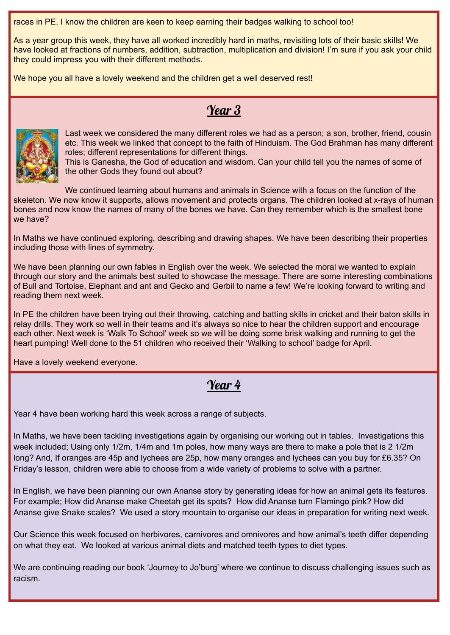races in PE. I know the children are keen to keep earning their badges walking to school too!

As a year group this week, they have all worked incredibly hard in maths, revisiting lots of their basic skills! We have looked at fractions of numbers, addition, subtraction, multiplication and division! I'm sure if you ask your child they could impress you with their different methods.

We hope you all have a lovely weekend and the children get a well deserved rest!

# Year 3



Last week we considered the many different roles we had as a person; a son, brother, friend, cousin etc. This week we linked that concept to the faith of Hinduism. The God Brahman has many different roles; different representations for different things.

This is Ganesha, the God of education and wisdom. Can your child tell you the names of some of the other Gods they found out about?

We continued learning about humans and animals in Science with a focus on the function of the skeleton. We now know it supports, allows movement and protects organs. The children looked at x-rays of human bones and now know the names of many of the bones we have. Can they remember which is the smallest bone we have?

In Maths we have continued exploring, describing and drawing shapes. We have been describing their properties including those with lines of symmetry.

We have been planning our own fables in English over the week. We selected the moral we wanted to explain through our story and the animals best suited to showcase the message. There are some interesting combinations of Bull and Tortoise, Elephant and ant and Gecko and Gerbil to name a few! We're looking forward to writing and reading them next week.

In PE the children have been trying out their throwing, catching and batting skills in cricket and their baton skills in relay drills. They work so well in their teams and it's always so nice to hear the children support and encourage each other. Next week is 'Walk To School' week so we will be doing some brisk walking and running to get the heart pumping! Well done to the 51 children who received their 'Walking to school' badge for April.

Have a lovely weekend everyone.

# Year 4

Year 4 have been working hard this week across a range of subjects.

In Maths, we have been tackling investigations again by organising our working out in tables. Investigations this week included; Using only 1/2m, 1/4m and 1m poles, how many ways are there to make a pole that is 2 1/2m long? And, If oranges are 45p and lychees are 25p, how many oranges and lychees can you buy for £6.35? On Friday's lesson, children were able to choose from a wide variety of problems to solve with a partner.

In English, we have been planning our own Ananse story by generating ideas for how an animal gets its features. For example; How did Ananse make Cheetah get its spots? How did Ananse turn Flamingo pink? How did Ananse give Snake scales? We used a story mountain to organise our ideas in preparation for writing next week.

Our Science this week focused on herbivores, carnivores and omnivores and how animal's teeth differ depending on what they eat. We looked at various animal diets and matched teeth types to diet types.

We are continuing reading our book 'Journey to Jo'burg' where we continue to discuss challenging issues such as racism.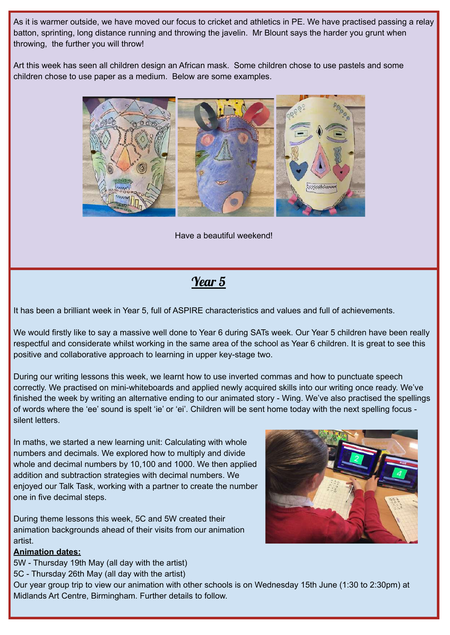As it is warmer outside, we have moved our focus to cricket and athletics in PE. We have practised passing a relay batton, sprinting, long distance running and throwing the javelin. Mr Blount says the harder you grunt when throwing, the further you will throw!

Art this week has seen all children design an African mask. Some children chose to use pastels and some children chose to use paper as a medium. Below are some examples.



Have a beautiful weekend!

## Year 5

It has been a brilliant week in Year 5, full of ASPIRE characteristics and values and full of achievements.

We would firstly like to say a massive well done to Year 6 during SATs week. Our Year 5 children have been really respectful and considerate whilst working in the same area of the school as Year 6 children. It is great to see this positive and collaborative approach to learning in upper key-stage two.

During our writing lessons this week, we learnt how to use inverted commas and how to punctuate speech correctly. We practised on mini-whiteboards and applied newly acquired skills into our writing once ready. We've finished the week by writing an alternative ending to our animated story - Wing. We've also practised the spellings of words where the 'ee' sound is spelt 'ie' or 'ei'. Children will be sent home today with the next spelling focus silent letters.

In maths, we started a new learning unit: Calculating with whole numbers and decimals. We explored how to multiply and divide whole and decimal numbers by 10,100 and 1000. We then applied addition and subtraction strategies with decimal numbers. We enjoyed our Talk Task, working with a partner to create the number one in five decimal steps.

During theme lessons this week, 5C and 5W created their animation backgrounds ahead of their visits from our animation artist.

### **Animation dates:**

5W - Thursday 19th May (all day with the artist)

5C - Thursday 26th May (all day with the artist)

Our year group trip to view our animation with other schools is on Wednesday 15th June (1:30 to 2:30pm) at Midlands Art Centre, Birmingham. Further details to follow.

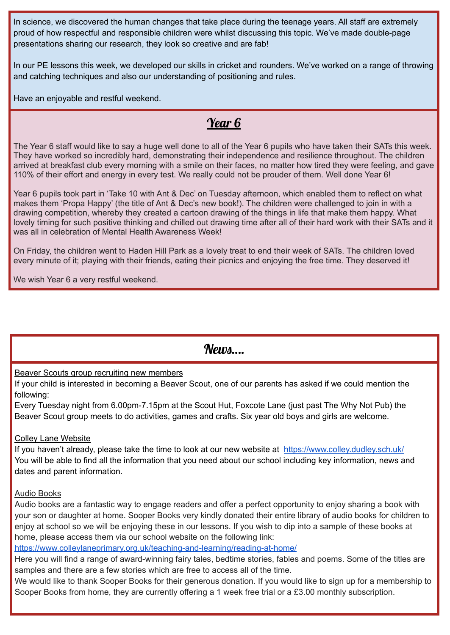In science, we discovered the human changes that take place during the teenage years. All staff are extremely proud of how respectful and responsible children were whilst discussing this topic. We've made double-page presentations sharing our research, they look so creative and are fab!

In our PE lessons this week, we developed our skills in cricket and rounders. We've worked on a range of throwing and catching techniques and also our understanding of positioning and rules.

Have an enjoyable and restful weekend.

# Year 6

The Year 6 staff would like to say a huge well done to all of the Year 6 pupils who have taken their SATs this week. They have worked so incredibly hard, demonstrating their independence and resilience throughout. The children arrived at breakfast club every morning with a smile on their faces, no matter how tired they were feeling, and gave 110% of their effort and energy in every test. We really could not be prouder of them. Well done Year 6!

Year 6 pupils took part in 'Take 10 with Ant & Dec' on Tuesday afternoon, which enabled them to reflect on what makes them 'Propa Happy' (the title of Ant & Dec's new book!). The children were challenged to join in with a drawing competition, whereby they created a cartoon drawing of the things in life that make them happy. What lovely timing for such positive thinking and chilled out drawing time after all of their hard work with their SATs and it was all in celebration of Mental Health Awareness Week!

On Friday, the children went to Haden Hill Park as a lovely treat to end their week of SATs. The children loved every minute of it; playing with their friends, eating their picnics and enjoying the free time. They deserved it!

We wish Year 6 a very restful weekend.

 $N$ *PHIM*....

Beaver Scouts group recruiting new members

If your child is interested in becoming a Beaver Scout, one of our parents has asked if we could mention the following:

Every Tuesday night from 6.00pm-7.15pm at the Scout Hut, Foxcote Lane (just past The Why Not Pub) the Beaver Scout group meets to do activities, games and crafts. Six year old boys and girls are welcome.

### Colley Lane Website

If you haven't already, please take the time to look at our new website at <https://www.colley.dudley.sch.uk/> You will be able to find all the information that you need about our school including key information, news and dates and parent information.

### Audio Books

Audio books are a fantastic way to engage readers and offer a perfect opportunity to enjoy sharing a book with your son or daughter at home. Sooper Books very kindly donated their entire library of audio books for children to enjoy at school so we will be enjoying these in our lessons. If you wish to dip into a sample of these books at home, please access them via our school website on the following link:

<https://www.colleylaneprimary.org.uk/teaching-and-learning/reading-at-home/>

Here you will find a range of award-winning fairy tales, bedtime stories, fables and poems. Some of the titles are samples and there are a few stories which are free to access all of the time.

We would like to thank Sooper Books for their generous donation. If you would like to sign up for a membership to Sooper Books from home, they are currently offering a 1 week free trial or a £3.00 monthly subscription.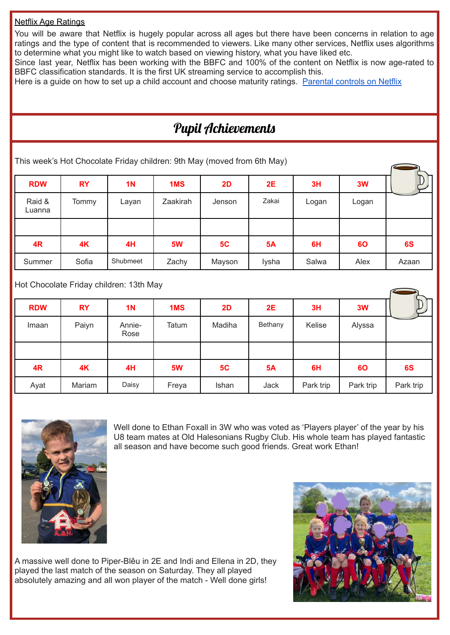#### Netflix Age Ratings

You will be aware that Netflix is hugely popular across all ages but there have been concerns in relation to age ratings and the type of content that is recommended to viewers. Like many other services, Netflix uses algorithms to determine what you might like to watch based on viewing history, what you have liked etc.

Since last year, Netflix has been working with the BBFC and 100% of the content on Netflix is now age-rated to BBFC classification standards. It is the first UK streaming service to accomplish this.

Here is a quide on how to set up a child account and choose maturity ratings. [Parental](https://help.netflix.com/en/node/264) controls on Netflix

# Pupil Achievements

This week's Hot Chocolate Friday children: 9th May (moved from 6th May)

| <b>RDW</b>       | <b>RY</b> | 1 <sub>N</sub> | 1 <sub>MS</sub> | 2D     | <b>2E</b> | 3H    | 3W    |       |
|------------------|-----------|----------------|-----------------|--------|-----------|-------|-------|-------|
| Raid &<br>Luanna | Tommy     | Layan          | Zaakirah        | Jenson | Zakai     | Logan | Logan |       |
|                  |           |                |                 |        |           |       |       |       |
| 4R               | 4K        | 4H             | <b>5W</b>       | 5C     | <b>5A</b> | 6H    | 60    | 6S    |
| Summer           | Sofia     | Shubmeet       | Zachy           | Mayson | lysha     | Salwa | Alex  | Azaan |

Hot Chocolate Friday children: 13th May

| <b>RDW</b> | <b>RY</b> | <b>1N</b>      | 1MS       | 2D     | 2E        | 3H        | 3W        |           |
|------------|-----------|----------------|-----------|--------|-----------|-----------|-----------|-----------|
| Imaan      | Paiyn     | Annie-<br>Rose | Tatum     | Madiha | Bethany   | Kelise    | Alyssa    |           |
|            |           |                |           |        |           |           |           |           |
| 4R         | 4K        | 4H             | <b>5W</b> | 5C     | <b>5A</b> | 6H        | 60        | 6S        |
| Ayat       | Mariam    | Daisy          | Freya     | Ishan  | Jack      | Park trip | Park trip | Park trip |



Well done to Ethan Foxall in 3W who was voted as 'Players player' of the year by his U8 team mates at Old Halesonians Rugby Club. His whole team has played fantastic all season and have become such good friends. Great work Ethan!

A massive well done to Piper-Blêu in 2E and Indi and Ellena in 2D, they played the last match of the season on Saturday. They all played absolutely amazing and all won player of the match - Well done girls!

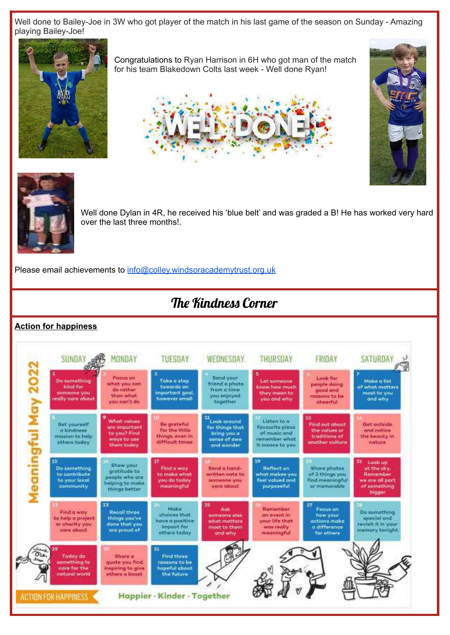Well done to Bailey-Joe in 3W who got player of the match in his last game of the season on Sunday - Amazing playing Bailey-Joe!



Congratulations to Ryan Harrison in 6H who got man of the match for his team Blakedown Colts last week - Well done Ryan!







Well done Dylan in 4R, he received his 'blue belt' and was graded a B! He has worked very hard over the last three months!.

Please email achievements to [info@colley.windsoracademytrust.org.uk](mailto:info@colley.windsoracademytrust.org.uk)

# The Kindness Corner

### **Action for happiness**

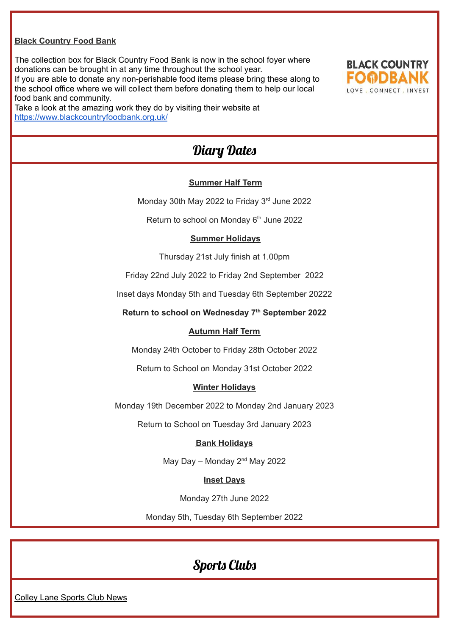#### **Black Country Food Bank**

The collection box for Black Country Food Bank is now in the school foyer where donations can be brought in at any time throughout the school year. If you are able to donate any non-perishable food items please bring these along to the school office where we will collect them before donating them to help our local

food bank and community. Take a look at the amazing work they do by visiting their website at <https://www.blackcountryfoodbank.org.uk/>



### Diary Dates

#### **Summer Half Term**

Monday 30th May 2022 to Friday 3<sup>rd</sup> June 2022

Return to school on Monday 6<sup>th</sup> June 2022

#### **Summer Holidays**

Thursday 21st July finish at 1.00pm

Friday 22nd July 2022 to Friday 2nd September 2022

Inset days Monday 5th and Tuesday 6th September 20222

**Return to school on Wednesday 7 th September 2022**

#### **Autumn Half Term**

Monday 24th October to Friday 28th October 2022

Return to School on Monday 31st October 2022

#### **Winter Holidays**

Monday 19th December 2022 to Monday 2nd January 2023

Return to School on Tuesday 3rd January 2023

#### **Bank Holidays**

May Day – Monday  $2^{nd}$  May 2022

#### **Inset Days**

Monday 27th June 2022

Monday 5th, Tuesday 6th September 2022

### Sports Clubs

Colley Lane Sports Club News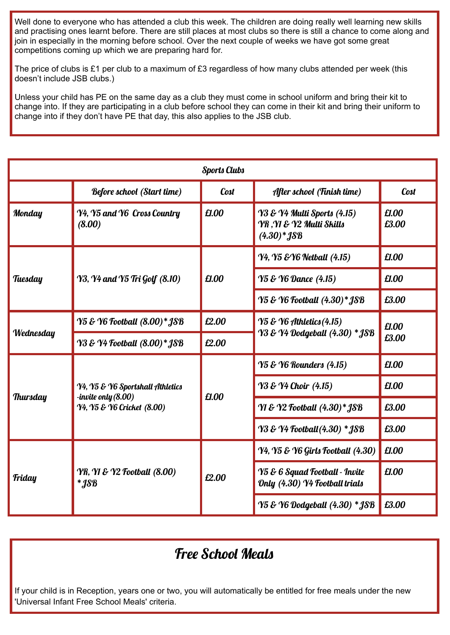Well done to everyone who has attended a club this week. The children are doing really well learning new skills and practising ones learnt before. There are still places at most clubs so there is still a chance to come along and join in especially in the morning before school. Over the next couple of weeks we have got some great competitions coming up which we are preparing hard for.

The price of clubs is £1 per club to a maximum of £3 regardless of how many clubs attended per week (this doesn't include JSB clubs.)

Unless your child has PE on the same day as a club they must come in school uniform and bring their kit to change into. If they are participating in a club before school they can come in their kit and bring their uniform to change into if they don't have PE that day, this also applies to the JSB club.

| <b>Sports Clubs</b> |                                                                                       |       |                                                                                 |                |  |  |
|---------------------|---------------------------------------------------------------------------------------|-------|---------------------------------------------------------------------------------|----------------|--|--|
|                     | <b>Before school (Start time)</b><br><b>Cost</b>                                      |       | After school (Finish time)                                                      | <b>Cost</b>    |  |  |
| <b>Monday</b>       | Y4, Y5 and Y6 Cross Country<br>(8.00)                                                 | £1.00 | Y3 & Y4 Multi Sports (4.15)<br>YR, YI & Y2 Multi Skills<br>$(4.30)*$ <b>JSB</b> | £1.00<br>£3.00 |  |  |
| Tuesday             |                                                                                       | £1.00 | <b>Y4, Y5 &amp; Y6 Netball (4.15)</b>                                           | £1.00          |  |  |
|                     | <b>Y3, Y4 and Y5 Tri Golf (8.10)</b>                                                  |       | <b>Y5 &amp; Y6 Dance (4.15)</b>                                                 | £1.00          |  |  |
|                     |                                                                                       |       | Y5 & Y6 Football (4.30)* JSB                                                    | £3.00          |  |  |
| Wednesday           | Y5 & Y6 Football (8.00)* JSB                                                          | £2.00 | $\gamma$ 5 & $\gamma$ 6 Athletics (4.15)                                        | £1.00<br>£3.00 |  |  |
|                     | Y3 & Y4 Football (8.00)* JSB                                                          | £2.00 | Y3 & Y4 Dodgeball (4.30) * JSB                                                  |                |  |  |
| <b>Thursday</b>     |                                                                                       | £1.00 | <b>Y5 &amp; Y6 Rounders (4.15)</b>                                              | £1.00          |  |  |
|                     | Y4, Y5 & Y6 Sportshall Athletics<br>-invite only (8.00)<br>Y4, Y5 & Y6 Cricket (8.00) |       | <b>Y3 &amp; Y4 Choir</b> (4.15)                                                 | £1.00          |  |  |
|                     |                                                                                       |       | Y1 & Y2 Football (4.30)* JSB                                                    | £3.00          |  |  |
|                     |                                                                                       |       | <b>Y3 &amp; Y4 Football (4.30) * JSB</b>                                        | £3.00          |  |  |
| <b>Friday</b>       | <b>YR, YI &amp; Y2 Football (8.00)</b><br>$*$ <i>JSB</i>                              | £2.00 | Y4, Y5 & Y6 Girls Football (4.30)                                               | £1.00          |  |  |
|                     |                                                                                       |       | <b>Y5 &amp; 6 Squad Football - Invite</b><br>Only (4.30) Y4 Football trials     | £1.00          |  |  |
|                     |                                                                                       |       | Y5 & Y6 Dodgeball (4.30) * JSB                                                  | £3.00          |  |  |

# Free School Meals

If your child is in Reception, years one or two, you will automatically be entitled for free meals under the new 'Universal Infant Free School Meals' criteria.